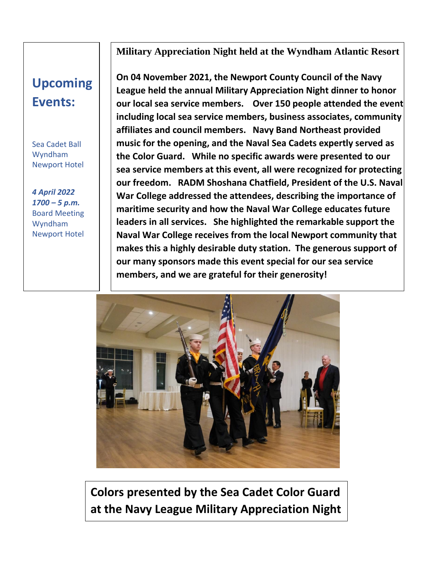**Military Appreciation Night held at the Wyndham Atlantic Resort**

### **Upcoming Events:**

**2 April 2022 1700 – 5 p.m.**  Sea Cadet Ball Wyndham Newport Hotel

*4 April 2022 1700 – 5 p.m.*  Board Meeting Wyndham Newport Hotel

**On 04 November 2021, the Newport County Council of the Navy League held the annual Military Appreciation Night dinner to honor our local sea service members. Over 150 people attended the event including local sea service members, business associates, community affiliates and council members. Navy Band Northeast provided music for the opening, and the Naval Sea Cadets expertly served as the Color Guard. While no specific awards were presented to our sea service members at this event, all were recognized for protecting our freedom. RADM Shoshana Chatfield, President of the U.S. Naval War College addressed the attendees, describing the importance of maritime security and how the Naval War College educates future leaders in all services. She highlighted the remarkable support the Naval War College receives from the local Newport community that makes this a highly desirable duty station. The generous support of our many sponsors made this event special for our sea service members, and we are grateful for their generosity!**



**Colors presented by the Sea Cadet Color Guard at the Navy League Military Appreciation Night**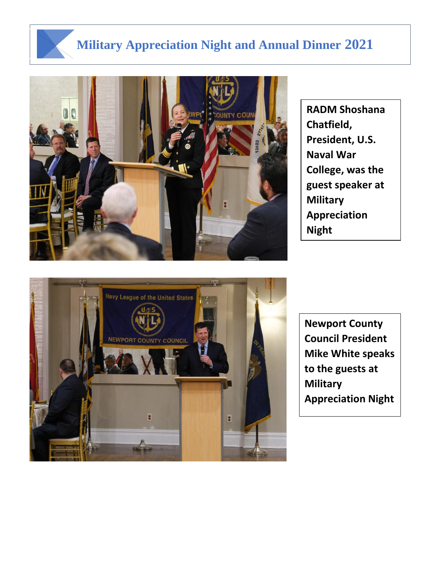### **Military Appreciation Night and Annual Dinner 2021**



**RADM Shoshana Chatfield, President, U.S. Naval War College, was the guest speaker at Military Appreciation Night**



**Newport County Council President Mike White speaks to the guests at Military Appreciation Night**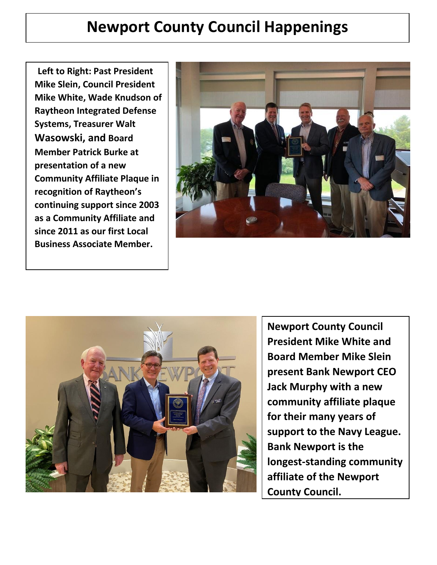## **Newport County Council Happenings**

**Left to Right: Past President Mike Slein, Council President Mike White, Wade Knudson of Raytheon Integrated Defense Systems, Treasurer Walt Wasowski, and Board Member Patrick Burke at presentation of a new Community Affiliate Plaque in recognition of Raytheon's continuing support since 2003 as a Community Affiliate and since 2011 as our first Local Business Associate Member.**





**Newport County Council President Mike White and Board Member Mike Slein present Bank Newport CEO Jack Murphy with a new community affiliate plaque for their many years of support to the Navy League. Bank Newport is the longest-standing community affiliate of the Newport County Council.**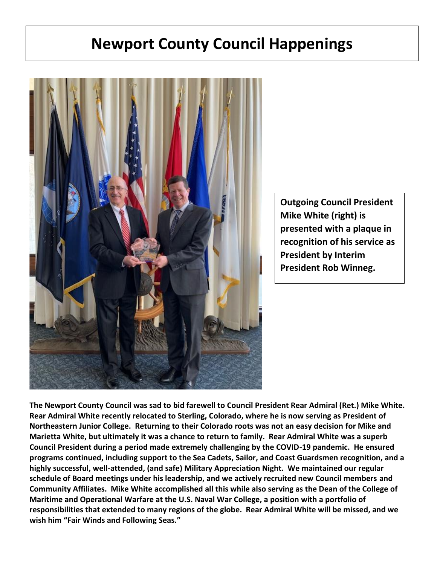## **Newport County Council Happenings**



**Outgoing Council President Mike White (right) is presented with a plaque in recognition of his service as President by Interim President Rob Winneg.**

**The Newport County Council was sad to bid farewell to Council President Rear Admiral (Ret.) Mike White. Rear Admiral White recently relocated to Sterling, Colorado, where he is now serving as President of Northeastern Junior College. Returning to their Colorado roots was not an easy decision for Mike and Marietta White, but ultimately it was a chance to return to family. Rear Admiral White was a superb Council President during a period made extremely challenging by the COVID-19 pandemic. He ensured programs continued, including support to the Sea Cadets, Sailor, and Coast Guardsmen recognition, and a highly successful, well-attended, (and safe) Military Appreciation Night. We maintained our regular schedule of Board meetings under his leadership, and we actively recruited new Council members and Community Affiliates. Mike White accomplished all this while also serving as the Dean of the College of Maritime and Operational Warfare at the U.S. Naval War College, a position with a portfolio of responsibilities that extended to many regions of the globe. Rear Admiral White will be missed, and we wish him "Fair Winds and Following Seas."**